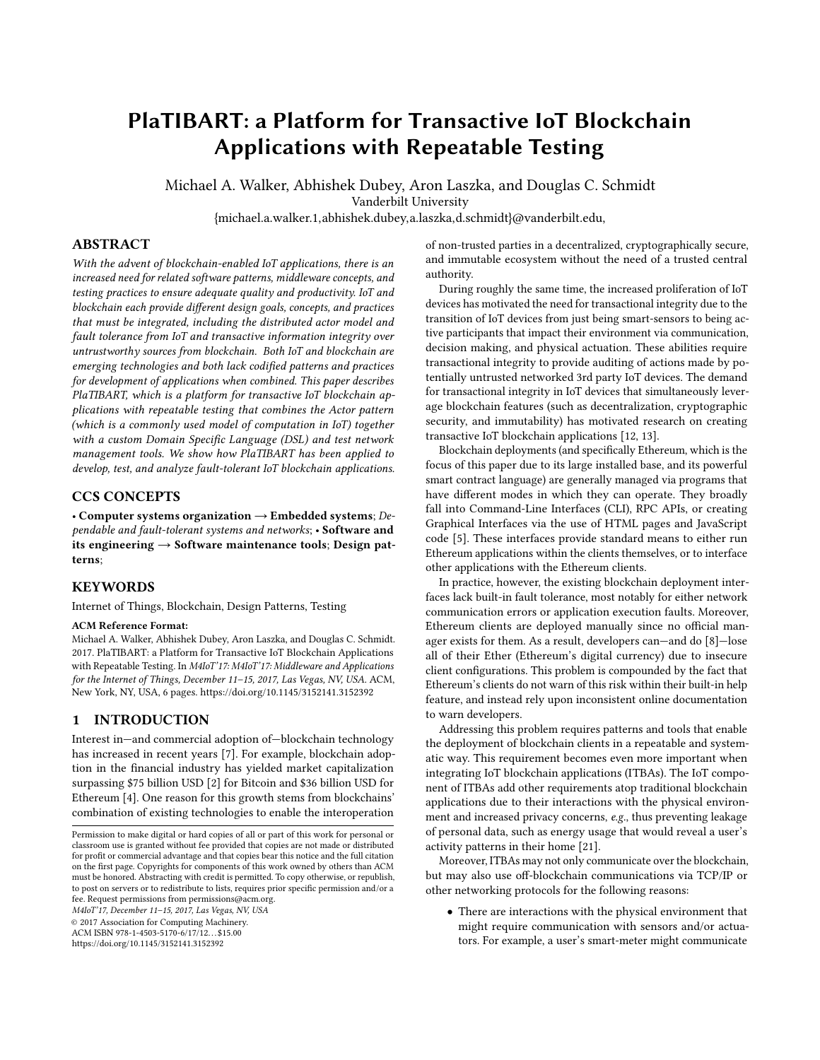# PlaTIBART: a Platform for Transactive IoT Blockchain Applications with Repeatable Testing

Michael A. Walker, Abhishek Dubey, Aron Laszka, and Douglas C. Schmidt Vanderbilt University

{michael.a.walker.1,abhishek.dubey,a.laszka,d.schmidt}@vanderbilt.edu,

## ABSTRACT

With the advent of blockchain-enabled IoT applications, there is an increased need for related software patterns, middleware concepts, and testing practices to ensure adequate quality and productivity. IoT and blockchain each provide different design goals, concepts, and practices that must be integrated, including the distributed actor model and fault tolerance from IoT and transactive information integrity over untrustworthy sources from blockchain. Both IoT and blockchain are emerging technologies and both lack codified patterns and practices for development of applications when combined. This paper describes PlaTIBART, which is a platform for transactive IoT blockchain applications with repeatable testing that combines the Actor pattern (which is a commonly used model of computation in IoT) together with a custom Domain Specific Language (DSL) and test network management tools. We show how PlaTIBART has been applied to develop, test, and analyze fault-tolerant IoT blockchain applications.

## CCS CONCEPTS

• Computer systems organization → Embedded systems; Dependable and fault-tolerant systems and networks; • Software and its engineering  $\rightarrow$  Software maintenance tools; Design patterns;

## **KEYWORDS**

Internet of Things, Blockchain, Design Patterns, Testing

#### ACM Reference Format:

Michael A. Walker, Abhishek Dubey, Aron Laszka, and Douglas C. Schmidt. 2017. PlaTIBART: a Platform for Transactive IoT Blockchain Applications with Repeatable Testing. In M4IoT'17: M4IoT'17: Middleware and Applications for the Internet of Things, December 11–15, 2017, Las Vegas, NV, USA. ACM, New York, NY, USA, [6](#page-5-0) pages.<https://doi.org/10.1145/3152141.3152392>

## 1 INTRODUCTION

Interest in—and commercial adoption of—blockchain technology has increased in recent years [\[7\]](#page-5-1). For example, blockchain adoption in the financial industry has yielded market capitalization surpassing \$75 billion USD [\[2\]](#page-5-2) for Bitcoin and \$36 billion USD for Ethereum [\[4\]](#page-5-3). One reason for this growth stems from blockchains' combination of existing technologies to enable the interoperation

M4IoT'17, December 11–15, 2017, Las Vegas, NV, USA

© 2017 Association for Computing Machinery.

ACM ISBN 978-1-4503-5170-6/17/12. . . \$15.00 <https://doi.org/10.1145/3152141.3152392>

of non-trusted parties in a decentralized, cryptographically secure, and immutable ecosystem without the need of a trusted central authority.

During roughly the same time, the increased proliferation of IoT devices has motivated the need for transactional integrity due to the transition of IoT devices from just being smart-sensors to being active participants that impact their environment via communication, decision making, and physical actuation. These abilities require transactional integrity to provide auditing of actions made by potentially untrusted networked 3rd party IoT devices. The demand for transactional integrity in IoT devices that simultaneously leverage blockchain features (such as decentralization, cryptographic security, and immutability) has motivated research on creating transactive IoT blockchain applications [\[12,](#page-5-4) [13\]](#page-5-5).

Blockchain deployments (and specifically Ethereum, which is the focus of this paper due to its large installed base, and its powerful smart contract language) are generally managed via programs that have different modes in which they can operate. They broadly fall into Command-Line Interfaces (CLI), RPC APIs, or creating Graphical Interfaces via the use of HTML pages and JavaScript code [\[5\]](#page-5-6). These interfaces provide standard means to either run Ethereum applications within the clients themselves, or to interface other applications with the Ethereum clients.

In practice, however, the existing blockchain deployment interfaces lack built-in fault tolerance, most notably for either network communication errors or application execution faults. Moreover, Ethereum clients are deployed manually since no official manager exists for them. As a result, developers can—and do [\[8\]](#page-5-7)—lose all of their Ether (Ethereum's digital currency) due to insecure client configurations. This problem is compounded by the fact that Ethereum's clients do not warn of this risk within their built-in help feature, and instead rely upon inconsistent online documentation to warn developers.

Addressing this problem requires patterns and tools that enable the deployment of blockchain clients in a repeatable and systematic way. This requirement becomes even more important when integrating IoT blockchain applications (ITBAs). The IoT component of ITBAs add other requirements atop traditional blockchain applications due to their interactions with the physical environment and increased privacy concerns, e.g., thus preventing leakage of personal data, such as energy usage that would reveal a user's activity patterns in their home [\[21\]](#page-5-8).

Moreover, ITBAs may not only communicate over the blockchain, but may also use off-blockchain communications via TCP/IP or other networking protocols for the following reasons:

• There are interactions with the physical environment that might require communication with sensors and/or actuators. For example, a user's smart-meter might communicate

Permission to make digital or hard copies of all or part of this work for personal or classroom use is granted without fee provided that copies are not made or distributed for profit or commercial advantage and that copies bear this notice and the full citation on the first page. Copyrights for components of this work owned by others than ACM must be honored. Abstracting with credit is permitted. To copy otherwise, or republish, to post on servers or to redistribute to lists, requires prior specific permission and/or a fee. Request permissions from permissions@acm.org.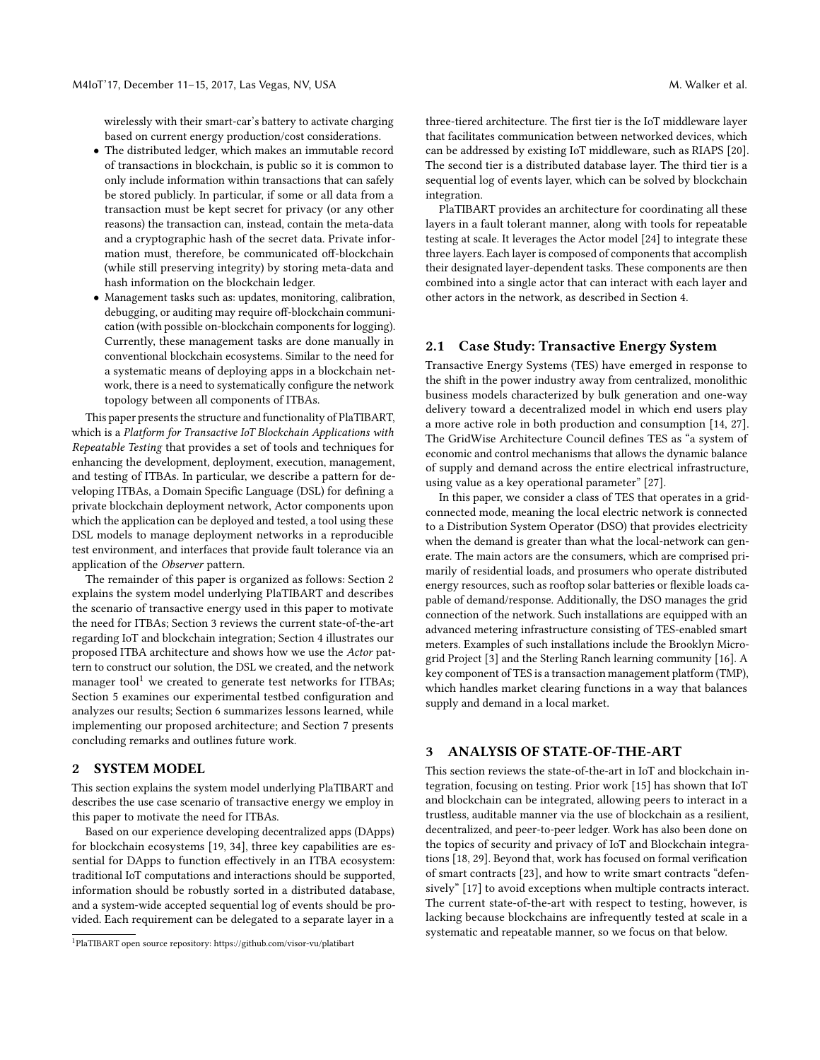wirelessly with their smart-car's battery to activate charging based on current energy production/cost considerations.

- The distributed ledger, which makes an immutable record of transactions in blockchain, is public so it is common to only include information within transactions that can safely be stored publicly. In particular, if some or all data from a transaction must be kept secret for privacy (or any other reasons) the transaction can, instead, contain the meta-data and a cryptographic hash of the secret data. Private information must, therefore, be communicated off-blockchain (while still preserving integrity) by storing meta-data and hash information on the blockchain ledger.
- Management tasks such as: updates, monitoring, calibration, debugging, or auditing may require off-blockchain communication (with possible on-blockchain components for logging). Currently, these management tasks are done manually in conventional blockchain ecosystems. Similar to the need for a systematic means of deploying apps in a blockchain network, there is a need to systematically configure the network topology between all components of ITBAs.

This paper presents the structure and functionality of PlaTIBART, which is a Platform for Transactive IoT Blockchain Applications with Repeatable Testing that provides a set of tools and techniques for enhancing the development, deployment, execution, management, and testing of ITBAs. In particular, we describe a pattern for developing ITBAs, a Domain Specific Language (DSL) for defining a private blockchain deployment network, Actor components upon which the application can be deployed and tested, a tool using these DSL models to manage deployment networks in a reproducible test environment, and interfaces that provide fault tolerance via an application of the Observer pattern.

The remainder of this paper is organized as follows: Section [2](#page-1-0) explains the system model underlying PlaTIBART and describes the scenario of transactive energy used in this paper to motivate the need for ITBAs; Section [3](#page-1-1) reviews the current state-of-the-art regarding IoT and blockchain integration; Section [4](#page-2-0) illustrates our proposed ITBA architecture and shows how we use the Actor pattern to construct our solution, the DSL we created, and the network manager tool<sup>[1](#page-1-2)</sup> we created to generate test networks for ITBAs; Section [5](#page-3-0) examines our experimental testbed configuration and analyzes our results; Section [6](#page-4-0) summarizes lessons learned, while implementing our proposed architecture; and Section [7](#page-4-1) presents concluding remarks and outlines future work.

### <span id="page-1-0"></span>2 SYSTEM MODEL

This section explains the system model underlying PlaTIBART and describes the use case scenario of transactive energy we employ in this paper to motivate the need for ITBAs.

Based on our experience developing decentralized apps (DApps) for blockchain ecosystems [\[19,](#page-5-9) [34\]](#page-5-10), three key capabilities are essential for DApps to function effectively in an ITBA ecosystem: traditional IoT computations and interactions should be supported, information should be robustly sorted in a distributed database, and a system-wide accepted sequential log of events should be provided. Each requirement can be delegated to a separate layer in a

three-tiered architecture. The first tier is the IoT middleware layer that facilitates communication between networked devices, which can be addressed by existing IoT middleware, such as RIAPS [\[20\]](#page-5-11). The second tier is a distributed database layer. The third tier is a sequential log of events layer, which can be solved by blockchain integration.

PlaTIBART provides an architecture for coordinating all these layers in a fault tolerant manner, along with tools for repeatable testing at scale. It leverages the Actor model [\[24\]](#page-5-12) to integrate these three layers. Each layer is composed of components that accomplish their designated layer-dependent tasks. These components are then combined into a single actor that can interact with each layer and other actors in the network, as described in Section [4.](#page-2-0)

## <span id="page-1-3"></span>2.1 Case Study: Transactive Energy System

Transactive Energy Systems (TES) have emerged in response to the shift in the power industry away from centralized, monolithic business models characterized by bulk generation and one-way delivery toward a decentralized model in which end users play a more active role in both production and consumption [\[14,](#page-5-13) [27\]](#page-5-14). The GridWise Architecture Council defines TES as "a system of economic and control mechanisms that allows the dynamic balance of supply and demand across the entire electrical infrastructure, using value as a key operational parameter" [\[27\]](#page-5-14).

In this paper, we consider a class of TES that operates in a gridconnected mode, meaning the local electric network is connected to a Distribution System Operator (DSO) that provides electricity when the demand is greater than what the local-network can generate. The main actors are the consumers, which are comprised primarily of residential loads, and prosumers who operate distributed energy resources, such as rooftop solar batteries or flexible loads capable of demand/response. Additionally, the DSO manages the grid connection of the network. Such installations are equipped with an advanced metering infrastructure consisting of TES-enabled smart meters. Examples of such installations include the Brooklyn Microgrid Project [\[3\]](#page-5-15) and the Sterling Ranch learning community [\[16\]](#page-5-16). A key component of TES is a transaction management platform (TMP), which handles market clearing functions in a way that balances supply and demand in a local market.

## <span id="page-1-1"></span>3 ANALYSIS OF STATE-OF-THE-ART

This section reviews the state-of-the-art in IoT and blockchain integration, focusing on testing. Prior work [\[15\]](#page-5-17) has shown that IoT and blockchain can be integrated, allowing peers to interact in a trustless, auditable manner via the use of blockchain as a resilient, decentralized, and peer-to-peer ledger. Work has also been done on the topics of security and privacy of IoT and Blockchain integrations [\[18,](#page-5-18) [29\]](#page-5-19). Beyond that, work has focused on formal verification of smart contracts [\[23\]](#page-5-20), and how to write smart contracts "defen-sively" [\[17\]](#page-5-21) to avoid exceptions when multiple contracts interact. The current state-of-the-art with respect to testing, however, is lacking because blockchains are infrequently tested at scale in a systematic and repeatable manner, so we focus on that below.

<span id="page-1-2"></span><sup>1</sup>PlaTIBART open source repository: https://github.com/visor-vu/platibart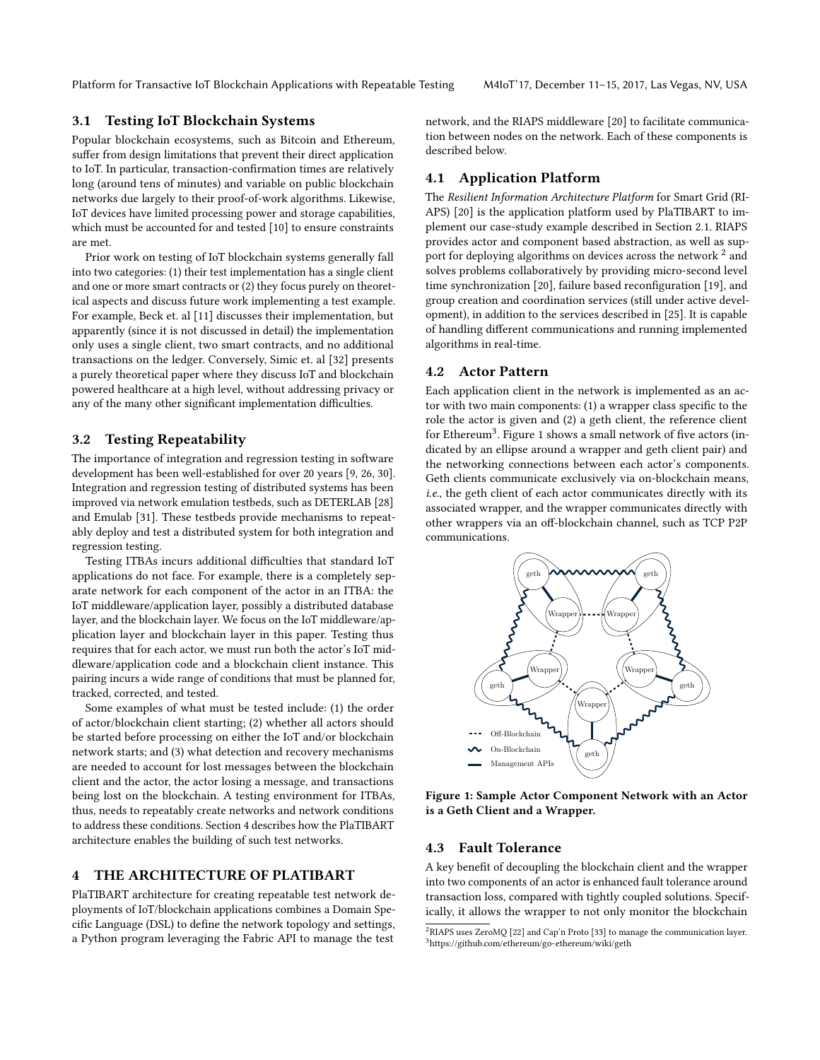Platform for Transactive IoT Blockchain Applications with Repeatable Testing M4IoT'17, December 11-15, 2017, Las Vegas, NV, USA

## 3.1 Testing IoT Blockchain Systems

Popular blockchain ecosystems, such as Bitcoin and Ethereum, suffer from design limitations that prevent their direct application to IoT. In particular, transaction-confirmation times are relatively long (around tens of minutes) and variable on public blockchain networks due largely to their proof-of-work algorithms. Likewise, IoT devices have limited processing power and storage capabilities, which must be accounted for and tested [\[10\]](#page-5-22) to ensure constraints are met.

Prior work on testing of IoT blockchain systems generally fall into two categories: (1) their test implementation has a single client and one or more smart contracts or (2) they focus purely on theoretical aspects and discuss future work implementing a test example. For example, Beck et. al [\[11\]](#page-5-23) discusses their implementation, but apparently (since it is not discussed in detail) the implementation only uses a single client, two smart contracts, and no additional transactions on the ledger. Conversely, Simic et. al [\[32\]](#page-5-24) presents a purely theoretical paper where they discuss IoT and blockchain powered healthcare at a high level, without addressing privacy or any of the many other significant implementation difficulties.

#### 3.2 Testing Repeatability

The importance of integration and regression testing in software development has been well-established for over 20 years [\[9,](#page-5-25) [26,](#page-5-26) [30\]](#page-5-27). Integration and regression testing of distributed systems has been improved via network emulation testbeds, such as DETERLAB [\[28\]](#page-5-28) and Emulab [\[31\]](#page-5-29). These testbeds provide mechanisms to repeatably deploy and test a distributed system for both integration and regression testing.

Testing ITBAs incurs additional difficulties that standard IoT applications do not face. For example, there is a completely separate network for each component of the actor in an ITBA: the IoT middleware/application layer, possibly a distributed database layer, and the blockchain layer. We focus on the IoT middleware/application layer and blockchain layer in this paper. Testing thus requires that for each actor, we must run both the actor's IoT middleware/application code and a blockchain client instance. This pairing incurs a wide range of conditions that must be planned for, tracked, corrected, and tested.

Some examples of what must be tested include: (1) the order of actor/blockchain client starting; (2) whether all actors should be started before processing on either the IoT and/or blockchain network starts; and (3) what detection and recovery mechanisms are needed to account for lost messages between the blockchain client and the actor, the actor losing a message, and transactions being lost on the blockchain. A testing environment for ITBAs, thus, needs to repeatably create networks and network conditions to address these conditions. Section [4](#page-2-0) describes how the PlaTIBART architecture enables the building of such test networks.

## <span id="page-2-0"></span>4 THE ARCHITECTURE OF PLATIBART

PlaTIBART architecture for creating repeatable test network deployments of IoT/blockchain applications combines a Domain Specific Language (DSL) to define the network topology and settings, a Python program leveraging the Fabric API to manage the test

network, and the RIAPS middleware [\[20\]](#page-5-11) to facilitate communication between nodes on the network. Each of these components is described below.

#### 4.1 Application Platform

The Resilient Information Architecture Platform for Smart Grid (RI-APS) [\[20\]](#page-5-11) is the application platform used by PlaTIBART to implement our case-study example described in Section [2.1.](#page-1-3) RIAPS provides actor and component based abstraction, as well as support for deploying algorithms on devices across the network  $^2$  $^2$  and solves problems collaboratively by providing micro-second level time synchronization [\[20\]](#page-5-11), failure based reconfiguration [\[19\]](#page-5-9), and group creation and coordination services (still under active development), in addition to the services described in [\[25\]](#page-5-30). It is capable of handling different communications and running implemented algorithms in real-time.

#### 4.2 Actor Pattern

Each application client in the network is implemented as an actor with two main components: (1) a wrapper class specific to the role the actor is given and (2) a geth client, the reference client for Ethereum $^3.$  $^3.$  $^3.$  Figure [1](#page-2-3) shows a small network of five actors (indicated by an ellipse around a wrapper and geth client pair) and the networking connections between each actor's components. Geth clients communicate exclusively via on-blockchain means, i.e., the geth client of each actor communicates directly with its associated wrapper, and the wrapper communicates directly with other wrappers via an off-blockchain channel, such as TCP P2P communications.

<span id="page-2-3"></span>

Figure 1: Sample Actor Component Network with an Actor is a Geth Client and a Wrapper.

### 4.3 Fault Tolerance

A key benefit of decoupling the blockchain client and the wrapper into two components of an actor is enhanced fault tolerance around transaction loss, compared with tightly coupled solutions. Specifically, it allows the wrapper to not only monitor the blockchain

<span id="page-2-2"></span><span id="page-2-1"></span> ${}^{2}$ RIAPS uses ZeroMQ [\[22\]](#page-5-31) and Cap'n Proto [\[33\]](#page-5-32) to manage the communication layer. <sup>3</sup><https://github.com/ethereum/go-ethereum/wiki/geth>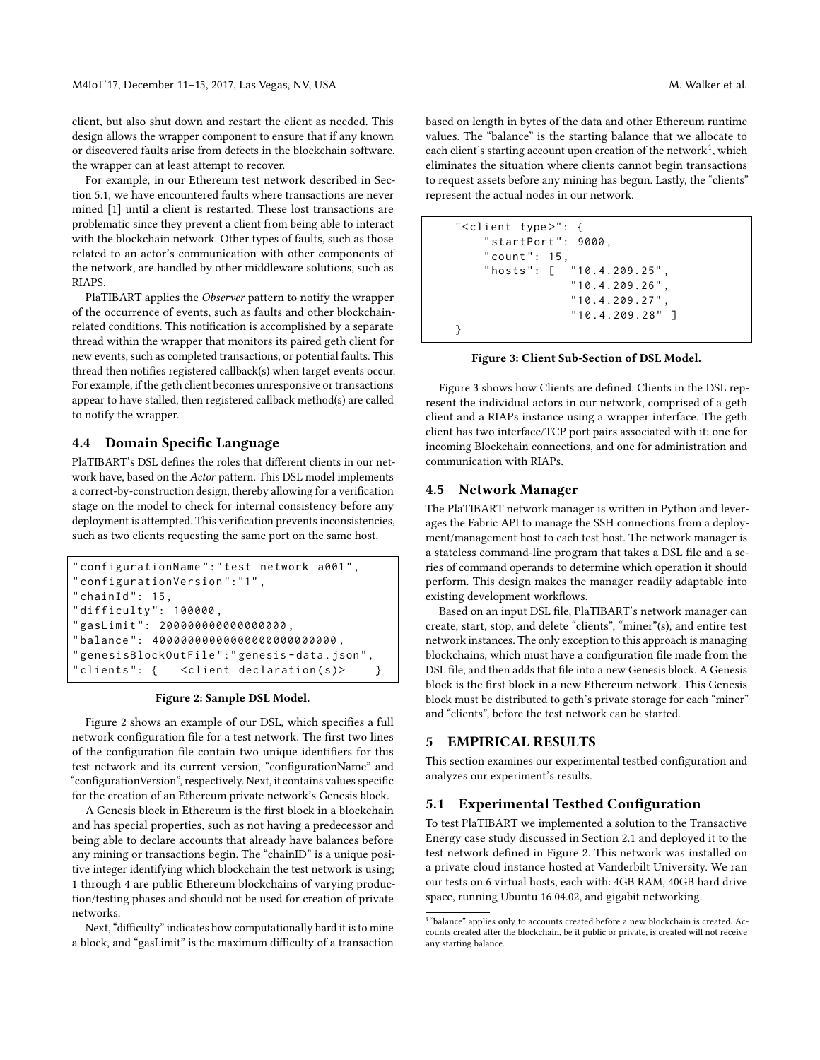client, but also shut down and restart the client as needed. This design allows the wrapper component to ensure that if any known or discovered faults arise from defects in the blockchain software, the wrapper can at least attempt to recover.

For example, in our Ethereum test network described in Section [5.1,](#page-3-1) we have encountered faults where transactions are never mined [\[1\]](#page-5-33) until a client is restarted. These lost transactions are problematic since they prevent a client from being able to interact with the blockchain network. Other types of faults, such as those related to an actor's communication with other components of the network, are handled by other middleware solutions, such as RIAPS.

PlaTIBART applies the Observer pattern to notify the wrapper of the occurrence of events, such as faults and other blockchainrelated conditions. This notification is accomplished by a separate thread within the wrapper that monitors its paired geth client for new events, such as completed transactions, or potential faults. This thread then notifies registered callback(s) when target events occur. For example, if the geth client becomes unresponsive or transactions appear to have stalled, then registered callback method(s) are called to notify the wrapper.

## 4.4 Domain Specific Language

PlaTIBART's DSL defines the roles that different clients in our network have, based on the Actor pattern. This DSL model implements a correct-by-construction design, thereby allowing for a verification stage on the model to check for internal consistency before any deployment is attempted. This verification prevents inconsistencies, such as two clients requesting the same port on the same host.

```
" configurationName ":" test network a001 " ,
" configurationVersion ":"1" ,
" chainId": 15,
" difficulty ": 100000 ,
" gasLimit ": 200000000000000000 ,
"balance": 400000000000000000000000000000,
" genesisBlockOutFile ":" genesis - data . json " ,
" clients": { < client declaration (s) > }
```
#### Figure 2: Sample DSL Model.

Figure [2](#page-3-2) shows an example of our DSL, which specifies a full network configuration file for a test network. The first two lines of the configuration file contain two unique identifiers for this test network and its current version, "configurationName" and "configurationVersion", respectively. Next, it contains values specific for the creation of an Ethereum private network's Genesis block.

A Genesis block in Ethereum is the first block in a blockchain and has special properties, such as not having a predecessor and being able to declare accounts that already have balances before any mining or transactions begin. The "chainID" is a unique positive integer identifying which blockchain the test network is using; 1 through 4 are public Ethereum blockchains of varying production/testing phases and should not be used for creation of private networks.

Next, "difficulty" indicates how computationally hard it is to mine a block, and "gasLimit" is the maximum difficulty of a transaction based on length in bytes of the data and other Ethereum runtime values. The "balance" is the starting balance that we allocate to each client's starting account upon creation of the network $^4$  $^4$ , which eliminates the situation where clients cannot begin transactions to request assets before any mining has begun. Lastly, the "clients" represent the actual nodes in our network.

```
" < client type >": {
    " startPort ": 9000 ,
    " count ": 15 ,
    " hosts ": [ "10.4.209.25" ,
                   "10.4.209.26" ,
                   "10.4.209.27" ,
                   "10.4.209.28" ]
}
```
Figure 3: Client Sub-Section of DSL Model.

Figure [3](#page-3-4) shows how Clients are defined. Clients in the DSL represent the individual actors in our network, comprised of a geth client and a RIAPs instance using a wrapper interface. The geth client has two interface/TCP port pairs associated with it: one for incoming Blockchain connections, and one for administration and communication with RIAPs.

#### <span id="page-3-5"></span>4.5 Network Manager

The PlaTIBART network manager is written in Python and leverages the Fabric API to manage the SSH connections from a deployment/management host to each test host. The network manager is a stateless command-line program that takes a DSL file and a series of command operands to determine which operation it should perform. This design makes the manager readily adaptable into existing development workflows.

Based on an input DSL file, PlaTIBART's network manager can create, start, stop, and delete "clients", "miner"(s), and entire test network instances. The only exception to this approach is managing blockchains, which must have a configuration file made from the DSL file, and then adds that file into a new Genesis block. A Genesis block is the first block in a new Ethereum network. This Genesis block must be distributed to geth's private storage for each "miner" and "clients", before the test network can be started.

## <span id="page-3-0"></span>5 EMPIRICAL RESULTS

This section examines our experimental testbed configuration and analyzes our experiment's results.

#### <span id="page-3-1"></span>5.1 Experimental Testbed Configuration

To test PlaTIBART we implemented a solution to the Transactive Energy case study discussed in Section [2.1](#page-1-3) and deployed it to the test network defined in Figure [2.](#page-3-2) This network was installed on a private cloud instance hosted at Vanderbilt University. We ran our tests on 6 virtual hosts, each with: 4GB RAM, 40GB hard drive space, running Ubuntu 16.04.02, and gigabit networking.

<span id="page-3-3"></span><sup>&</sup>lt;sup>4</sup>"balance" applies only to accounts created before a new blockchain is created. Accounts created after the blockchain, be it public or private, is created will not receive any starting balance.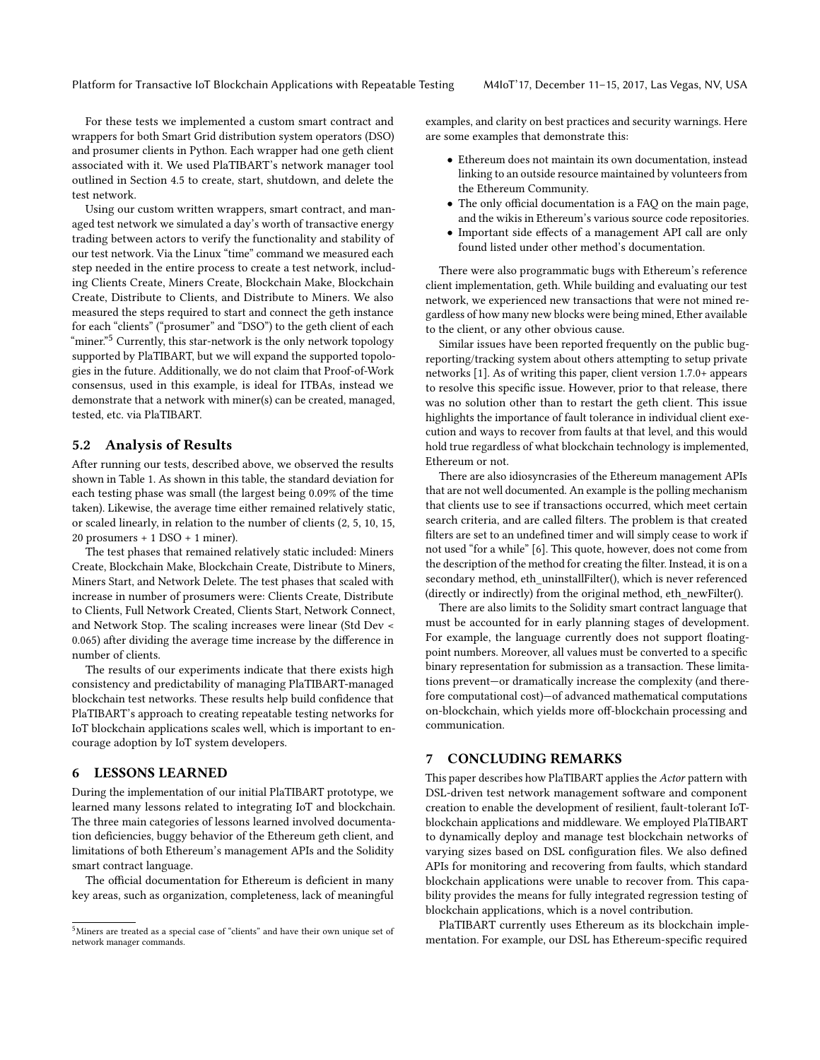Platform for Transactive IoT Blockchain Applications with Repeatable Testing M4IoT'17, December 11-15, 2017, Las Vegas, NV, USA

For these tests we implemented a custom smart contract and wrappers for both Smart Grid distribution system operators (DSO) and prosumer clients in Python. Each wrapper had one geth client associated with it. We used PlaTIBART's network manager tool outlined in Section [4.5](#page-3-5) to create, start, shutdown, and delete the test network.

Using our custom written wrappers, smart contract, and managed test network we simulated a day's worth of transactive energy trading between actors to verify the functionality and stability of our test network. Via the Linux "time" command we measured each step needed in the entire process to create a test network, including Clients Create, Miners Create, Blockchain Make, Blockchain Create, Distribute to Clients, and Distribute to Miners. We also measured the steps required to start and connect the geth instance for each "clients" ("prosumer" and "DSO") to the geth client of each "miner."<sup>[5](#page-4-2)</sup> Currently, this star-network is the only network topology supported by PlaTIBART, but we will expand the supported topologies in the future. Additionally, we do not claim that Proof-of-Work consensus, used in this example, is ideal for ITBAs, instead we demonstrate that a network with miner(s) can be created, managed, tested, etc. via PlaTIBART.

#### 5.2 Analysis of Results

After running our tests, described above, we observed the results shown in Table [1.](#page-5-34) As shown in this table, the standard deviation for each testing phase was small (the largest being 0.09% of the time taken). Likewise, the average time either remained relatively static, or scaled linearly, in relation to the number of clients (2, 5, 10, 15, 20 prosumers + 1 DSO + 1 miner).

The test phases that remained relatively static included: Miners Create, Blockchain Make, Blockchain Create, Distribute to Miners, Miners Start, and Network Delete. The test phases that scaled with increase in number of prosumers were: Clients Create, Distribute to Clients, Full Network Created, Clients Start, Network Connect, and Network Stop. The scaling increases were linear (Std Dev < 0.065) after dividing the average time increase by the difference in number of clients.

The results of our experiments indicate that there exists high consistency and predictability of managing PlaTIBART-managed blockchain test networks. These results help build confidence that PlaTIBART's approach to creating repeatable testing networks for IoT blockchain applications scales well, which is important to encourage adoption by IoT system developers.

## <span id="page-4-0"></span>6 LESSONS LEARNED

During the implementation of our initial PlaTIBART prototype, we learned many lessons related to integrating IoT and blockchain. The three main categories of lessons learned involved documentation deficiencies, buggy behavior of the Ethereum geth client, and limitations of both Ethereum's management APIs and the Solidity smart contract language.

The official documentation for Ethereum is deficient in many key areas, such as organization, completeness, lack of meaningful examples, and clarity on best practices and security warnings. Here are some examples that demonstrate this:

- Ethereum does not maintain its own documentation, instead linking to an outside resource maintained by volunteers from the Ethereum Community.
- The only official documentation is a FAQ on the main page, and the wikis in Ethereum's various source code repositories.
- Important side effects of a management API call are only found listed under other method's documentation.

There were also programmatic bugs with Ethereum's reference client implementation, geth. While building and evaluating our test network, we experienced new transactions that were not mined regardless of how many new blocks were being mined, Ether available to the client, or any other obvious cause.

Similar issues have been reported frequently on the public bugreporting/tracking system about others attempting to setup private networks [\[1\]](#page-5-33). As of writing this paper, client version 1.7.0+ appears to resolve this specific issue. However, prior to that release, there was no solution other than to restart the geth client. This issue highlights the importance of fault tolerance in individual client execution and ways to recover from faults at that level, and this would hold true regardless of what blockchain technology is implemented, Ethereum or not.

There are also idiosyncrasies of the Ethereum management APIs that are not well documented. An example is the polling mechanism that clients use to see if transactions occurred, which meet certain search criteria, and are called filters. The problem is that created filters are set to an undefined timer and will simply cease to work if not used "for a while" [\[6\]](#page-5-35). This quote, however, does not come from the description of the method for creating the filter. Instead, it is on a secondary method, eth\_uninstallFilter(), which is never referenced (directly or indirectly) from the original method, eth\_newFilter().

There are also limits to the Solidity smart contract language that must be accounted for in early planning stages of development. For example, the language currently does not support floatingpoint numbers. Moreover, all values must be converted to a specific binary representation for submission as a transaction. These limitations prevent—or dramatically increase the complexity (and therefore computational cost)—of advanced mathematical computations on-blockchain, which yields more off-blockchain processing and communication.

#### <span id="page-4-1"></span>7 CONCLUDING REMARKS

This paper describes how PlaTIBART applies the Actor pattern with DSL-driven test network management software and component creation to enable the development of resilient, fault-tolerant IoTblockchain applications and middleware. We employed PlaTIBART to dynamically deploy and manage test blockchain networks of varying sizes based on DSL configuration files. We also defined APIs for monitoring and recovering from faults, which standard blockchain applications were unable to recover from. This capability provides the means for fully integrated regression testing of blockchain applications, which is a novel contribution.

PlaTIBART currently uses Ethereum as its blockchain implementation. For example, our DSL has Ethereum-specific required

<span id="page-4-2"></span> $^5$  Miners are treated as a special case of "clients" and have their own unique set of network manager commands.